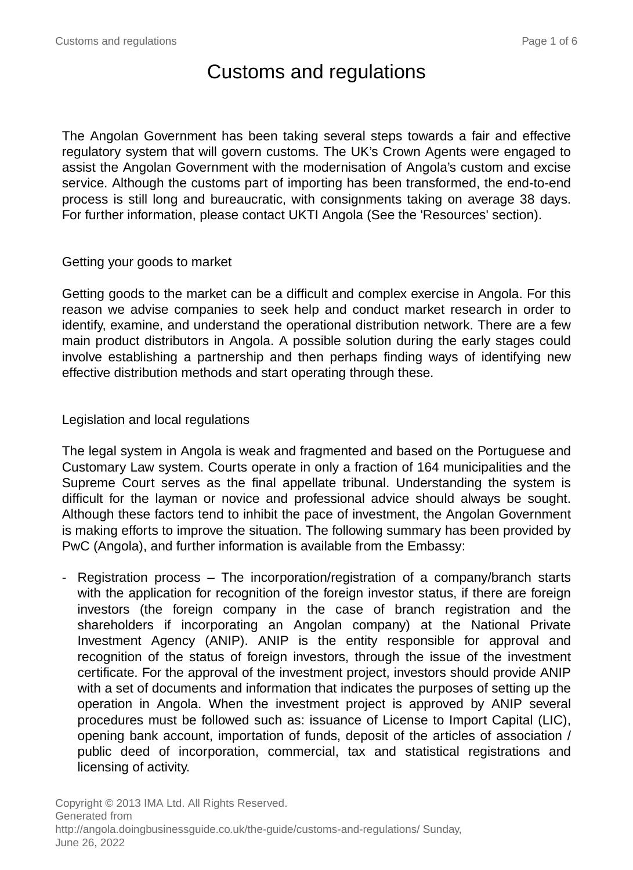# Customs and regulations

The Angolan Government has been taking several steps towards a fair and effective regulatory system that will govern customs. The UK's Crown Agents were engaged to assist the Angolan Government with the modernisation of Angola's custom and excise service. Although the customs part of importing has been transformed, the end-to-end process is still long and bureaucratic, with consignments taking on average 38 days. For further information, please contact UKTI Angola (See the 'Resources' section).

#### Getting your goods to market

Getting goods to the market can be a difficult and complex exercise in Angola. For this reason we advise companies to seek help and conduct market research in order to identify, examine, and understand the operational distribution network. There are a few main product distributors in Angola. A possible solution during the early stages could involve establishing a partnership and then perhaps finding ways of identifying new effective distribution methods and start operating through these.

## Legislation and local regulations

The legal system in Angola is weak and fragmented and based on the Portuguese and Customary Law system. Courts operate in only a fraction of 164 municipalities and the Supreme Court serves as the final appellate tribunal. Understanding the system is difficult for the layman or novice and professional advice should always be sought. Although these factors tend to inhibit the pace of investment, the Angolan Government is making efforts to improve the situation. The following summary has been provided by PwC (Angola), and further information is available from the Embassy:

- Registration process – The incorporation/registration of a company/branch starts with the application for recognition of the foreign investor status, if there are foreign investors (the foreign company in the case of branch registration and the shareholders if incorporating an Angolan company) at the National Private Investment Agency (ANIP). ANIP is the entity responsible for approval and recognition of the status of foreign investors, through the issue of the investment certificate. For the approval of the investment project, investors should provide ANIP with a set of documents and information that indicates the purposes of setting up the operation in Angola. When the investment project is approved by ANIP several procedures must be followed such as: issuance of License to Import Capital (LIC), opening bank account, importation of funds, deposit of the articles of association / public deed of incorporation, commercial, tax and statistical registrations and licensing of activity.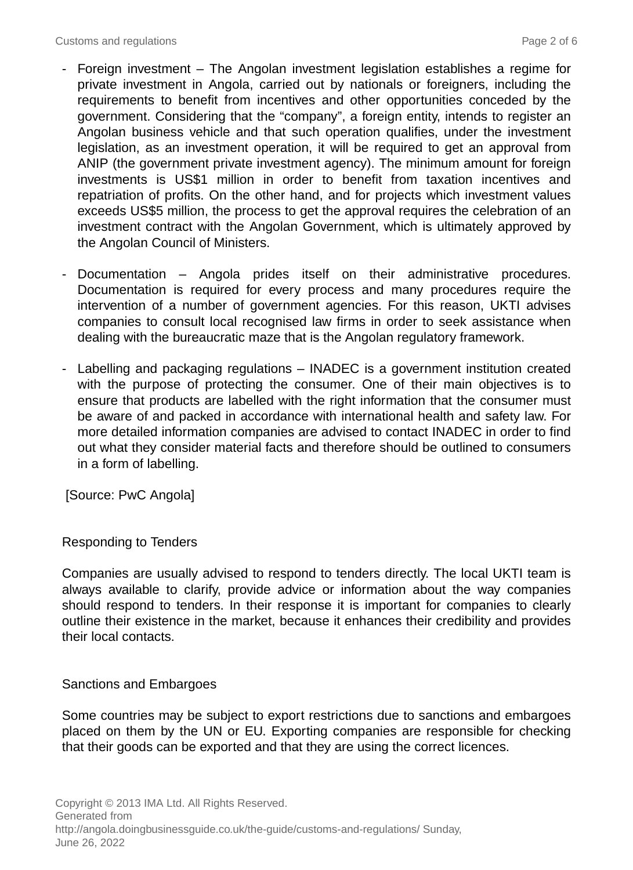- Foreign investment The Angolan investment legislation establishes a regime for private investment in Angola, carried out by nationals or foreigners, including the requirements to benefit from incentives and other opportunities conceded by the government. Considering that the "company", a foreign entity, intends to register an Angolan business vehicle and that such operation qualifies, under the investment legislation, as an investment operation, it will be required to get an approval from ANIP (the government private investment agency). The minimum amount for foreign investments is US\$1 million in order to benefit from taxation incentives and repatriation of profits. On the other hand, and for projects which investment values exceeds US\$5 million, the process to get the approval requires the celebration of an investment contract with the Angolan Government, which is ultimately approved by the Angolan Council of Ministers.
- Documentation Angola prides itself on their administrative procedures. Documentation is required for every process and many procedures require the intervention of a number of government agencies. For this reason, UKTI advises companies to consult local recognised law firms in order to seek assistance when dealing with the bureaucratic maze that is the Angolan regulatory framework.
- Labelling and packaging regulations INADEC is a government institution created with the purpose of protecting the consumer. One of their main objectives is to ensure that products are labelled with the right information that the consumer must be aware of and packed in accordance with international health and safety law. For more detailed information companies are advised to contact INADEC in order to find out what they consider material facts and therefore should be outlined to consumers in a form of labelling.

[Source: PwC Angola]

Responding to Tenders

Companies are usually advised to respond to tenders directly. The local UKTI team is always available to clarify, provide advice or information about the way companies should respond to tenders. In their response it is important for companies to clearly outline their existence in the market, because it enhances their credibility and provides their local contacts.

Sanctions and Embargoes

Some countries may be subject to export restrictions due to sanctions and embargoes placed on them by the UN or EU. Exporting companies are responsible for checking that their goods can be exported and that they are using the correct licences.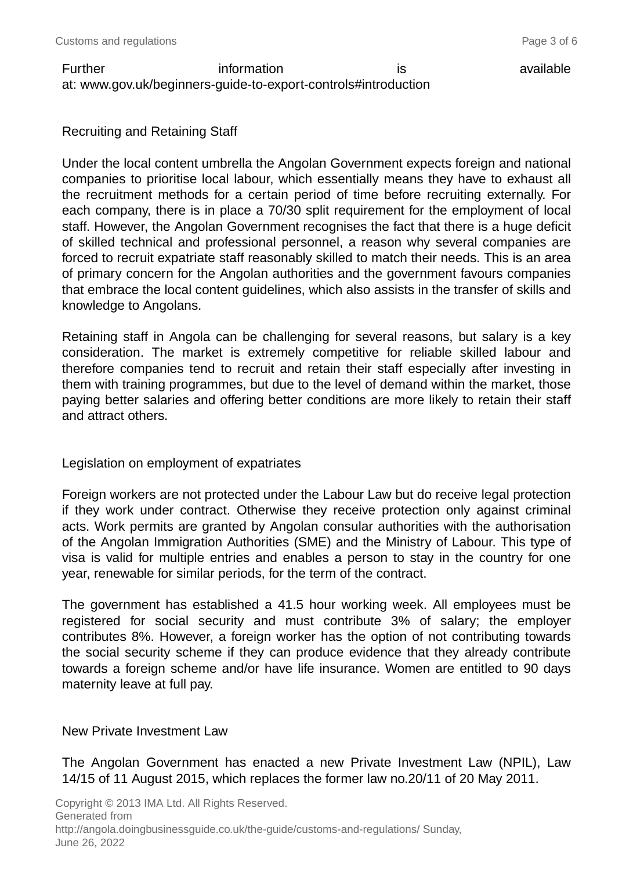### Recruiting and Retaining Staff

Under the local content umbrella the Angolan Government expects foreign and national companies to prioritise local labour, which essentially means they have to exhaust all the recruitment methods for a certain period of time before recruiting externally. For each company, there is in place a 70/30 split requirement for the employment of local staff. However, the Angolan Government recognises the fact that there is a huge deficit of skilled technical and professional personnel, a reason why several companies are forced to recruit expatriate staff reasonably skilled to match their needs. This is an area of primary concern for the Angolan authorities and the government favours companies that embrace the local content guidelines, which also assists in the transfer of skills and knowledge to Angolans.

Retaining staff in Angola can be challenging for several reasons, but salary is a key consideration. The market is extremely competitive for reliable skilled labour and therefore companies tend to recruit and retain their staff especially after investing in them with training programmes, but due to the level of demand within the market, those paying better salaries and offering better conditions are more likely to retain their staff and attract others.

#### Legislation on employment of expatriates

Foreign workers are not protected under the Labour Law but do receive legal protection if they work under contract. Otherwise they receive protection only against criminal acts. Work permits are granted by Angolan consular authorities with the authorisation of the Angolan Immigration Authorities (SME) and the Ministry of Labour. This type of visa is valid for multiple entries and enables a person to stay in the country for one year, renewable for similar periods, for the term of the contract.

The government has established a 41.5 hour working week. All employees must be registered for social security and must contribute 3% of salary; the employer contributes 8%. However, a foreign worker has the option of not contributing towards the social security scheme if they can produce evidence that they already contribute towards a foreign scheme and/or have life insurance. Women are entitled to 90 days maternity leave at full pay.

New Private Investment Law

The Angolan Government has enacted a new Private Investment Law (NPIL), Law 14/15 of 11 August 2015, which replaces the former law no.20/11 of 20 May 2011.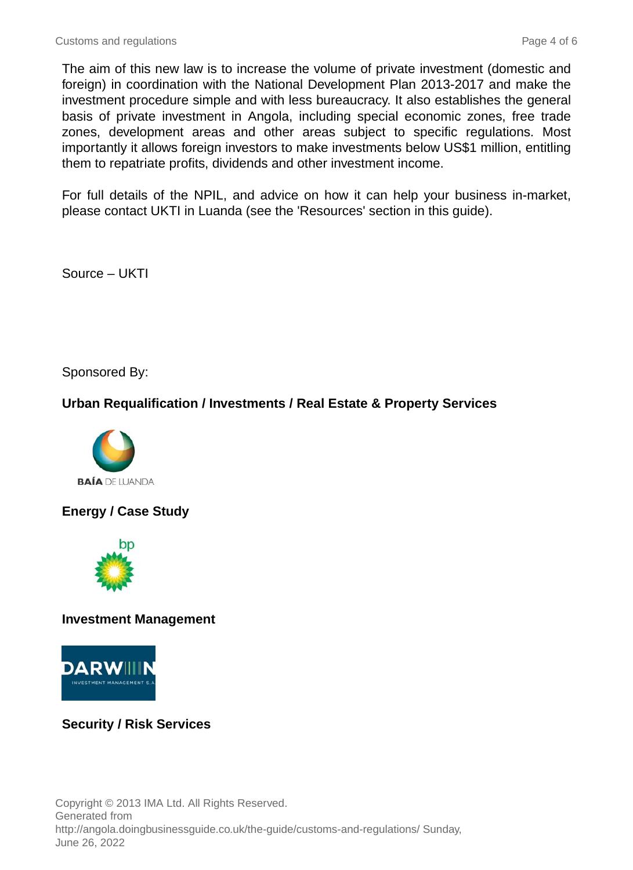The aim of this new law is to increase the volume of private investment (domestic and foreign) in coordination with the National Development Plan 2013-2017 and make the investment procedure simple and with less bureaucracy. It also establishes the general basis of private investment in Angola, including special economic zones, free trade zones, development areas and other areas subject to specific regulations. Most importantly it allows foreign investors to make investments below US\$1 million, entitling them to repatriate profits, dividends and other investment income.

For full details of the NPIL, and advice on how it can help your business in-market, please contact UKTI in Luanda (see the 'Resources' section in this guide).

Source – UKTI

Sponsored By:

## **Urban Requalification / Investments / Real Estate & Property Services**



**Energy / Case Study**



## **Investment Management**



# **Security / Risk Services**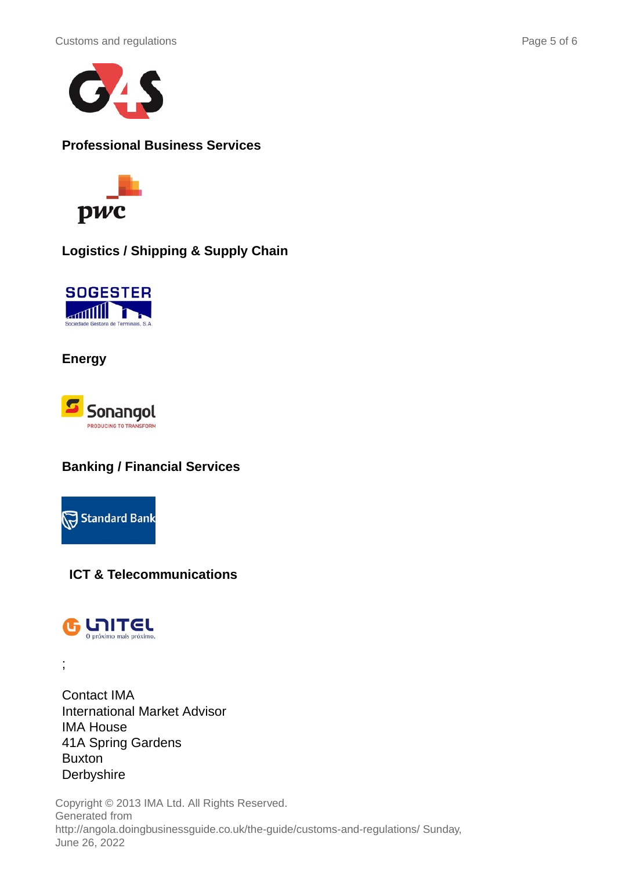



**Professional Business Services**



**Logistics / Shipping & Supply Chain**



**Energy**



# **Banking / Financial Services**



**ICT & Telecommunications**



;

Contact IMA International Market Advisor IMA House 41A Spring Gardens Buxton **Derbyshire** 

Copyright © 2013 IMA Ltd. All Rights Reserved. Generated from http://angola.doingbusinessguide.co.uk/the-guide/customs-and-regulations/ Sunday, June 26, 2022